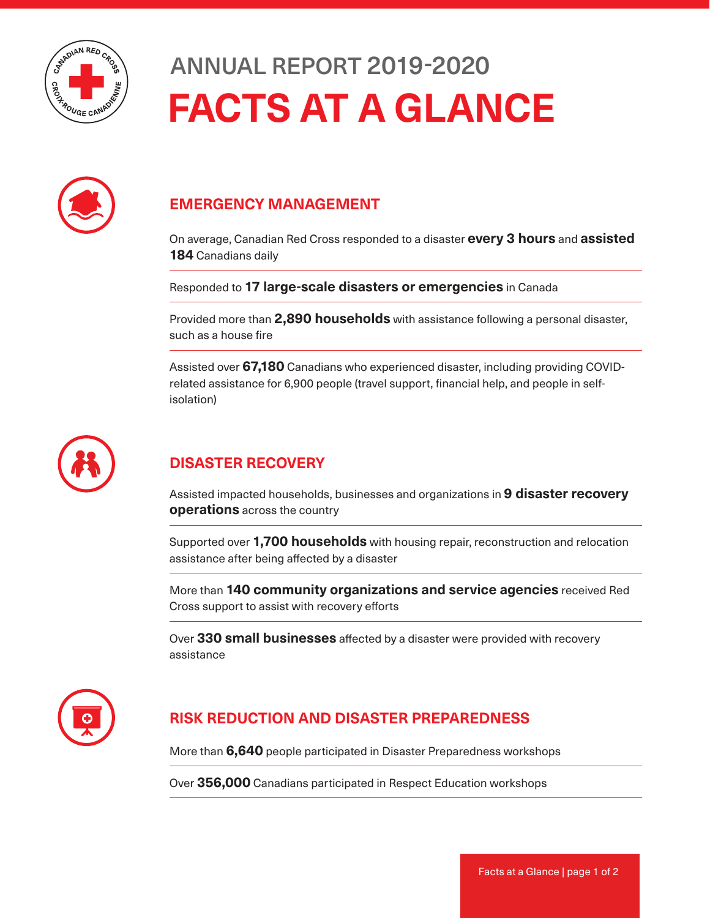

# ANNUAL REPORT 2019-2020 **FACTS AT A GLANCE**



#### **EMERGENCY MANAGEMENT**

On average, Canadian Red Cross responded to a disaster **every 3 hours** and **assisted 184** Canadians daily

Responded to **17 large-scale disasters or emergencies** in Canada

Provided more than **2,890 households** with assistance following a personal disaster, such as a house fire

Assisted over **67,180** Canadians who experienced disaster, including providing COVIDrelated assistance for 6,900 people (travel support, financial help, and people in selfisolation)



### **DISASTER RECOVERY**

Assisted impacted households, businesses and organizations in **9 disaster recovery operations** across the country

Supported over **1,700 households** with housing repair, reconstruction and relocation assistance after being affected by a disaster

More than **140 community organizations and service agencies** received Red Cross support to assist with recovery efforts

Over **330 small businesses** affected by a disaster were provided with recovery assistance



#### **RISK REDUCTION AND DISASTER PREPAREDNESS**

More than **6,640** people participated in Disaster Preparedness workshops

Over **356,000** Canadians participated in Respect Education workshops